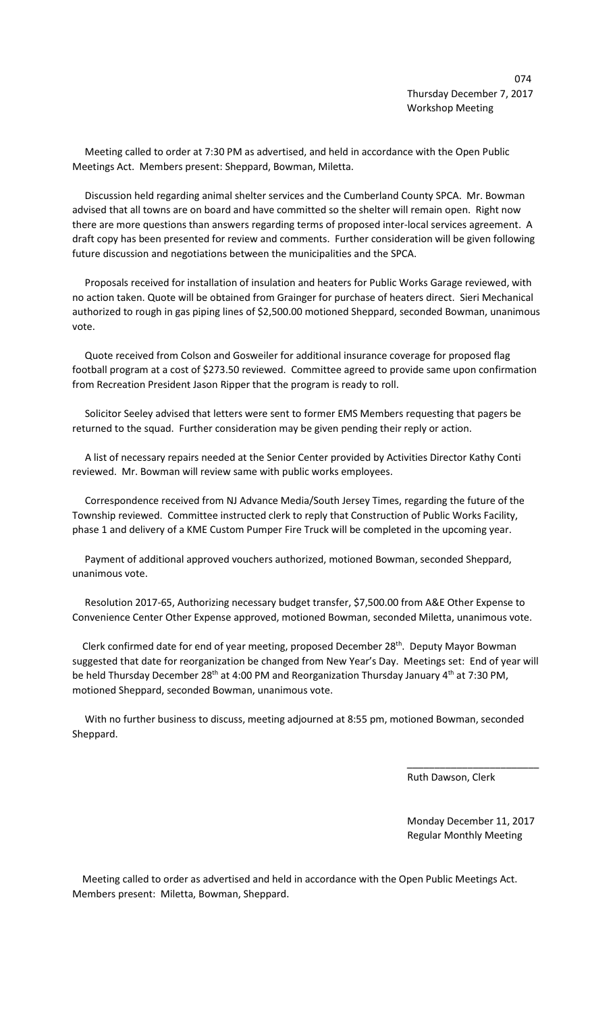Meeting called to order at 7:30 PM as advertised, and held in accordance with the Open Public Meetings Act. Members present: Sheppard, Bowman, Miletta.

 Discussion held regarding animal shelter services and the Cumberland County SPCA. Mr. Bowman advised that all towns are on board and have committed so the shelter will remain open. Right now there are more questions than answers regarding terms of proposed inter-local services agreement. A draft copy has been presented for review and comments. Further consideration will be given following future discussion and negotiations between the municipalities and the SPCA.

 Proposals received for installation of insulation and heaters for Public Works Garage reviewed, with no action taken. Quote will be obtained from Grainger for purchase of heaters direct. Sieri Mechanical authorized to rough in gas piping lines of \$2,500.00 motioned Sheppard, seconded Bowman, unanimous vote.

 Quote received from Colson and Gosweiler for additional insurance coverage for proposed flag football program at a cost of \$273.50 reviewed. Committee agreed to provide same upon confirmation from Recreation President Jason Ripper that the program is ready to roll.

 Solicitor Seeley advised that letters were sent to former EMS Members requesting that pagers be returned to the squad. Further consideration may be given pending their reply or action.

 A list of necessary repairs needed at the Senior Center provided by Activities Director Kathy Conti reviewed. Mr. Bowman will review same with public works employees.

 Correspondence received from NJ Advance Media/South Jersey Times, regarding the future of the Township reviewed. Committee instructed clerk to reply that Construction of Public Works Facility, phase 1 and delivery of a KME Custom Pumper Fire Truck will be completed in the upcoming year.

 Payment of additional approved vouchers authorized, motioned Bowman, seconded Sheppard, unanimous vote.

 Resolution 2017-65, Authorizing necessary budget transfer, \$7,500.00 from A&E Other Expense to Convenience Center Other Expense approved, motioned Bowman, seconded Miletta, unanimous vote.

 Clerk confirmed date for end of year meeting, proposed December 28th. Deputy Mayor Bowman suggested that date for reorganization be changed from New Year's Day. Meetings set: End of year will be held Thursday December 28<sup>th</sup> at 4:00 PM and Reorganization Thursday January 4<sup>th</sup> at 7:30 PM, motioned Sheppard, seconded Bowman, unanimous vote.

 With no further business to discuss, meeting adjourned at 8:55 pm, motioned Bowman, seconded Sheppard.

 $\overline{\phantom{a}}$  , and the contract of the contract of the contract of the contract of the contract of the contract of the contract of the contract of the contract of the contract of the contract of the contract of the contrac

Ruth Dawson, Clerk

 Monday December 11, 2017 Regular Monthly Meeting

 Meeting called to order as advertised and held in accordance with the Open Public Meetings Act. Members present: Miletta, Bowman, Sheppard.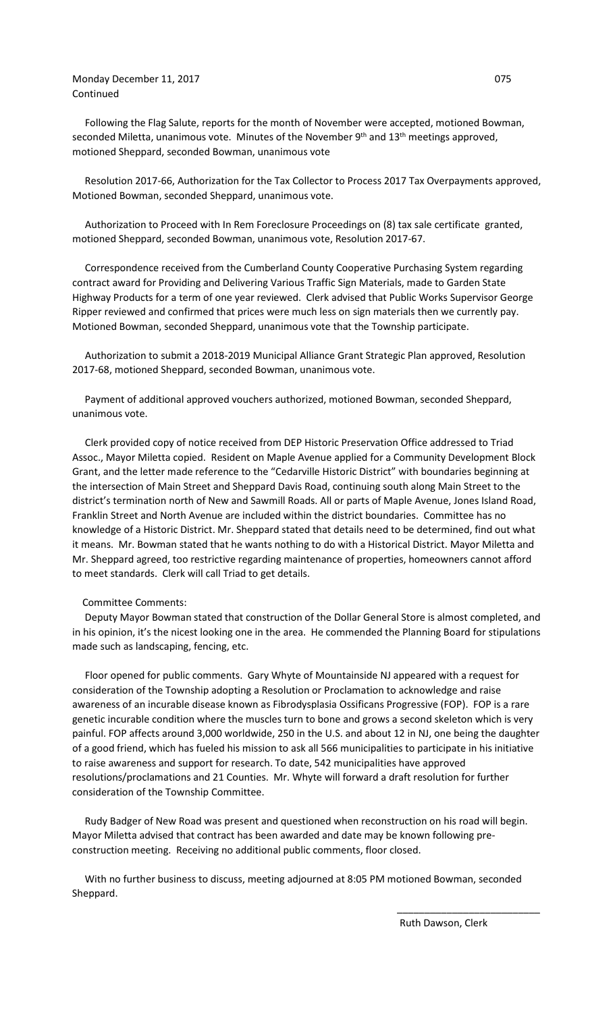## Monday December 11, 2017 **DECEMBER 11, 2017** Continued

 Following the Flag Salute, reports for the month of November were accepted, motioned Bowman, seconded Miletta, unanimous vote. Minutes of the November  $9<sup>th</sup>$  and  $13<sup>th</sup>$  meetings approved, motioned Sheppard, seconded Bowman, unanimous vote

 Resolution 2017-66, Authorization for the Tax Collector to Process 2017 Tax Overpayments approved, Motioned Bowman, seconded Sheppard, unanimous vote.

 Authorization to Proceed with In Rem Foreclosure Proceedings on (8) tax sale certificate granted, motioned Sheppard, seconded Bowman, unanimous vote, Resolution 2017-67.

 Correspondence received from the Cumberland County Cooperative Purchasing System regarding contract award for Providing and Delivering Various Traffic Sign Materials, made to Garden State Highway Products for a term of one year reviewed. Clerk advised that Public Works Supervisor George Ripper reviewed and confirmed that prices were much less on sign materials then we currently pay. Motioned Bowman, seconded Sheppard, unanimous vote that the Township participate.

 Authorization to submit a 2018-2019 Municipal Alliance Grant Strategic Plan approved, Resolution 2017-68, motioned Sheppard, seconded Bowman, unanimous vote.

 Payment of additional approved vouchers authorized, motioned Bowman, seconded Sheppard, unanimous vote.

 Clerk provided copy of notice received from DEP Historic Preservation Office addressed to Triad Assoc., Mayor Miletta copied. Resident on Maple Avenue applied for a Community Development Block Grant, and the letter made reference to the "Cedarville Historic District" with boundaries beginning at the intersection of Main Street and Sheppard Davis Road, continuing south along Main Street to the district's termination north of New and Sawmill Roads. All or parts of Maple Avenue, Jones Island Road, Franklin Street and North Avenue are included within the district boundaries. Committee has no knowledge of a Historic District. Mr. Sheppard stated that details need to be determined, find out what it means. Mr. Bowman stated that he wants nothing to do with a Historical District. Mayor Miletta and Mr. Sheppard agreed, too restrictive regarding maintenance of properties, homeowners cannot afford to meet standards. Clerk will call Triad to get details.

## Committee Comments:

 Deputy Mayor Bowman stated that construction of the Dollar General Store is almost completed, and in his opinion, it's the nicest looking one in the area. He commended the Planning Board for stipulations made such as landscaping, fencing, etc.

 Floor opened for public comments. Gary Whyte of Mountainside NJ appeared with a request for consideration of the Township adopting a Resolution or Proclamation to acknowledge and raise awareness of an incurable disease known as Fibrodysplasia Ossificans Progressive (FOP). FOP is a rare genetic incurable condition where the muscles turn to bone and grows a second skeleton which is very painful. FOP affects around 3,000 worldwide, 250 in the U.S. and about 12 in NJ, one being the daughter of a good friend, which has fueled his mission to ask all 566 municipalities to participate in his initiative to raise awareness and support for research. To date, 542 municipalities have approved resolutions/proclamations and 21 Counties. Mr. Whyte will forward a draft resolution for further consideration of the Township Committee.

 Rudy Badger of New Road was present and questioned when reconstruction on his road will begin. Mayor Miletta advised that contract has been awarded and date may be known following preconstruction meeting. Receiving no additional public comments, floor closed.

 With no further business to discuss, meeting adjourned at 8:05 PM motioned Bowman, seconded Sheppard.

 $\overline{\phantom{a}}$  , and the contract of the contract of the contract of the contract of the contract of the contract of the contract of the contract of the contract of the contract of the contract of the contract of the contrac